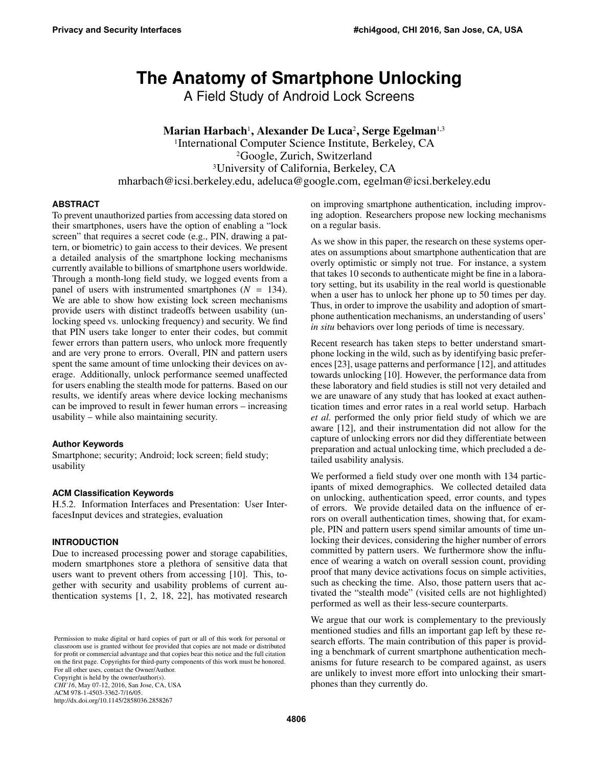# **The Anatomy of Smartphone Unlocking**

A Field Study of Android Lock Screens

Marian Harbach<sup>1</sup>, Alexander De Luca<sup>2</sup>, Serge Egelman<sup>1,3</sup> 1 International Computer Science Institute, Berkeley, CA <sup>2</sup>Google, Zurich, Switzerland <sup>3</sup>University of California, Berkeley, CA mharbach@icsi.berkeley.edu, adeluca@google.com, egelman@icsi.berkeley.edu

## **ABSTRACT**

To prevent unauthorized parties from accessing data stored on their smartphones, users have the option of enabling a "lock screen" that requires a secret code (e.g., PIN, drawing a pattern, or biometric) to gain access to their devices. We present a detailed analysis of the smartphone locking mechanisms currently available to billions of smartphone users worldwide. Through a month-long field study, we logged events from a panel of users with instrumented smartphones  $(N = 134)$ . We are able to show how existing lock screen mechanisms provide users with distinct tradeoffs between usability (unlocking speed vs. unlocking frequency) and security. We find that PIN users take longer to enter their codes, but commit fewer errors than pattern users, who unlock more frequently and are very prone to errors. Overall, PIN and pattern users spent the same amount of time unlocking their devices on average. Additionally, unlock performance seemed unaffected for users enabling the stealth mode for patterns. Based on our results, we identify areas where device locking mechanisms can be improved to result in fewer human errors – increasing usability – while also maintaining security.

#### **Author Keywords**

Smartphone; security; Android; lock screen; field study; usability

## **ACM Classification Keywords**

H.5.2. Information Interfaces and Presentation: User InterfacesInput devices and strategies, evaluation

#### **INTRODUCTION**

Due to increased processing power and storage capabilities, modern smartphones store a plethora of sensitive data that users want to prevent others from accessing [\[10\]](#page-10-0). This, together with security and usability problems of current authentication systems [\[1,](#page-10-1) [2,](#page-10-2) [18,](#page-11-0) [22\]](#page-11-1), has motivated research on improving smartphone authentication, including improving adoption. Researchers propose new locking mechanisms on a regular basis.

As we show in this paper, the research on these systems operates on assumptions about smartphone authentication that are overly optimistic or simply not true. For instance, a system that takes 10 seconds to authenticate might be fine in a laboratory setting, but its usability in the real world is questionable when a user has to unlock her phone up to 50 times per day. Thus, in order to improve the usability and adoption of smartphone authentication mechanisms, an understanding of users' *in situ* behaviors over long periods of time is necessary.

Recent research has taken steps to better understand smartphone locking in the wild, such as by identifying basic preferences [\[23\]](#page-11-2), usage patterns and performance [\[12\]](#page-10-3), and attitudes towards unlocking [\[10\]](#page-10-0). However, the performance data from these laboratory and field studies is still not very detailed and we are unaware of any study that has looked at exact authentication times and error rates in a real world setup. Harbach *et al.* performed the only prior field study of which we are aware [\[12\]](#page-10-3), and their instrumentation did not allow for the capture of unlocking errors nor did they differentiate between preparation and actual unlocking time, which precluded a detailed usability analysis.

We performed a field study over one month with 134 participants of mixed demographics. We collected detailed data on unlocking, authentication speed, error counts, and types of errors. We provide detailed data on the influence of errors on overall authentication times, showing that, for example, PIN and pattern users spend similar amounts of time unlocking their devices, considering the higher number of errors committed by pattern users. We furthermore show the influence of wearing a watch on overall session count, providing proof that many device activations focus on simple activities, such as checking the time. Also, those pattern users that activated the "stealth mode" (visited cells are not highlighted) performed as well as their less-secure counterparts.

We argue that our work is complementary to the previously mentioned studies and fills an important gap left by these research efforts. The main contribution of this paper is providing a benchmark of current smartphone authentication mechanisms for future research to be compared against, as users are unlikely to invest more effort into unlocking their smartphones than they currently do.

Permission to make digital or hard copies of part or all of this work for personal or classroom use is granted without fee provided that copies are not made or distributed for profit or commercial advantage and that copies bear this notice and the full citation on the first page. Copyrights for third-party components of this work must be honored. For all other uses, contact the Owner/Author. Copyright is held by the owner/author(s). *CHI'16*, May 07-12, 2016, San Jose, CA, USA ACM 978-1-4503-3362-7/16/05. http://dx.doi.org/10.1145/2858036.2858267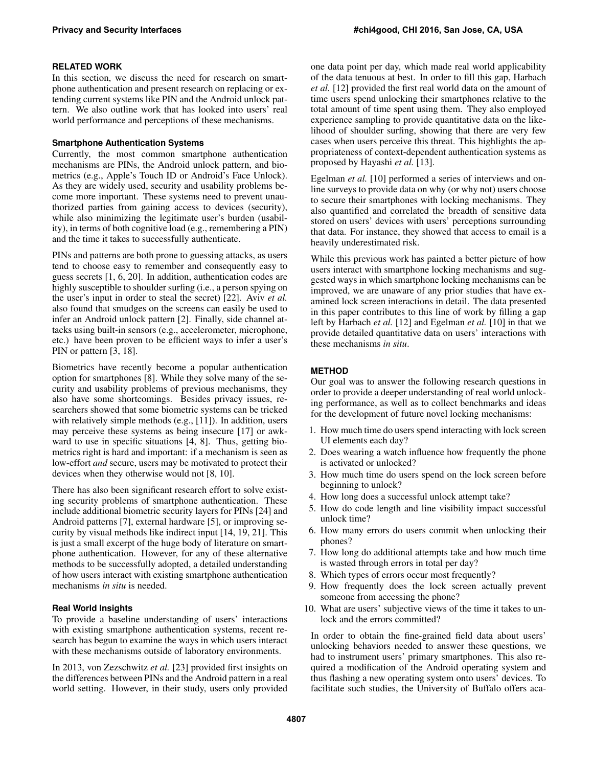### **RELATED WORK**

In this section, we discuss the need for research on smartphone authentication and present research on replacing or extending current systems like PIN and the Android unlock pattern. We also outline work that has looked into users' real world performance and perceptions of these mechanisms.

#### **Smartphone Authentication Systems**

Currently, the most common smartphone authentication mechanisms are PINs, the Android unlock pattern, and biometrics (e.g., Apple's Touch ID or Android's Face Unlock). As they are widely used, security and usability problems become more important. These systems need to prevent unauthorized parties from gaining access to devices (security), while also minimizing the legitimate user's burden (usability), in terms of both cognitive load (e.g., remembering a PIN) and the time it takes to successfully authenticate.

PINs and patterns are both prone to guessing attacks, as users tend to choose easy to remember and consequently easy to guess secrets [\[1,](#page-10-1) [6,](#page-10-4) [20\]](#page-11-3). In addition, authentication codes are highly susceptible to shoulder surfing (i.e., a person spying on the user's input in order to steal the secret) [\[22\]](#page-11-1). Aviv *et al.* also found that smudges on the screens can easily be used to infer an Android unlock pattern [\[2\]](#page-10-2). Finally, side channel attacks using built-in sensors (e.g., accelerometer, microphone, etc.) have been proven to be efficient ways to infer a user's PIN or pattern [\[3,](#page-10-5) [18\]](#page-11-0).

Biometrics have recently become a popular authentication option for smartphones [\[8\]](#page-10-6). While they solve many of the security and usability problems of previous mechanisms, they also have some shortcomings. Besides privacy issues, researchers showed that some biometric systems can be tricked with relatively simple methods (e.g., [\[11\]](#page-10-7)). In addition, users may perceive these systems as being insecure [\[17\]](#page-11-4) or awk-ward to use in specific situations [\[4,](#page-10-8) [8\]](#page-10-6). Thus, getting biometrics right is hard and important: if a mechanism is seen as low-effort *and* secure, users may be motivated to protect their devices when they otherwise would not [\[8,](#page-10-6) [10\]](#page-10-0).

There has also been significant research effort to solve existing security problems of smartphone authentication. These include additional biometric security layers for PINs [\[24\]](#page-11-5) and Android patterns [\[7\]](#page-10-9), external hardware [\[5\]](#page-10-10), or improving security by visual methods like indirect input [\[14,](#page-10-11) [19,](#page-11-6) [21\]](#page-11-7). This is just a small excerpt of the huge body of literature on smartphone authentication. However, for any of these alternative methods to be successfully adopted, a detailed understanding of how users interact with existing smartphone authentication mechanisms *in situ* is needed.

#### **Real World Insights**

To provide a baseline understanding of users' interactions with existing smartphone authentication systems, recent research has begun to examine the ways in which users interact with these mechanisms outside of laboratory environments.

In 2013, von Zezschwitz *et al.* [\[23\]](#page-11-2) provided first insights on the differences between PINs and the Android pattern in a real world setting. However, in their study, users only provided one data point per day, which made real world applicability of the data tenuous at best. In order to fill this gap, Harbach *et al.* [\[12\]](#page-10-3) provided the first real world data on the amount of time users spend unlocking their smartphones relative to the total amount of time spent using them. They also employed experience sampling to provide quantitative data on the likelihood of shoulder surfing, showing that there are very few cases when users perceive this threat. This highlights the appropriateness of context-dependent authentication systems as proposed by Hayashi *et al.* [\[13\]](#page-10-12).

Egelman *et al.* [\[10\]](#page-10-0) performed a series of interviews and online surveys to provide data on why (or why not) users choose to secure their smartphones with locking mechanisms. They also quantified and correlated the breadth of sensitive data stored on users' devices with users' perceptions surrounding that data. For instance, they showed that access to email is a heavily underestimated risk.

While this previous work has painted a better picture of how users interact with smartphone locking mechanisms and suggested ways in which smartphone locking mechanisms can be improved, we are unaware of any prior studies that have examined lock screen interactions in detail. The data presented in this paper contributes to this line of work by filling a gap left by Harbach *et al.* [\[12\]](#page-10-3) and Egelman *et al.* [\[10\]](#page-10-0) in that we provide detailed quantitative data on users' interactions with these mechanisms *in situ*.

## **METHOD**

Our goal was to answer the following research questions in order to provide a deeper understanding of real world unlocking performance, as well as to collect benchmarks and ideas for the development of future novel locking mechanisms:

- 1. How much time do users spend interacting with lock screen UI elements each day?
- 2. Does wearing a watch influence how frequently the phone is activated or unlocked?
- 3. How much time do users spend on the lock screen before beginning to unlock?
- 4. How long does a successful unlock attempt take?
- 5. How do code length and line visibility impact successful unlock time?
- 6. How many errors do users commit when unlocking their phones?
- 7. How long do additional attempts take and how much time is wasted through errors in total per day?
- 8. Which types of errors occur most frequently?
- 9. How frequently does the lock screen actually prevent someone from accessing the phone?
- 10. What are users' subjective views of the time it takes to unlock and the errors committed?

In order to obtain the fine-grained field data about users' unlocking behaviors needed to answer these questions, we had to instrument users' primary smartphones. This also required a modification of the Android operating system and thus flashing a new operating system onto users' devices. To facilitate such studies, the University of Buffalo offers aca-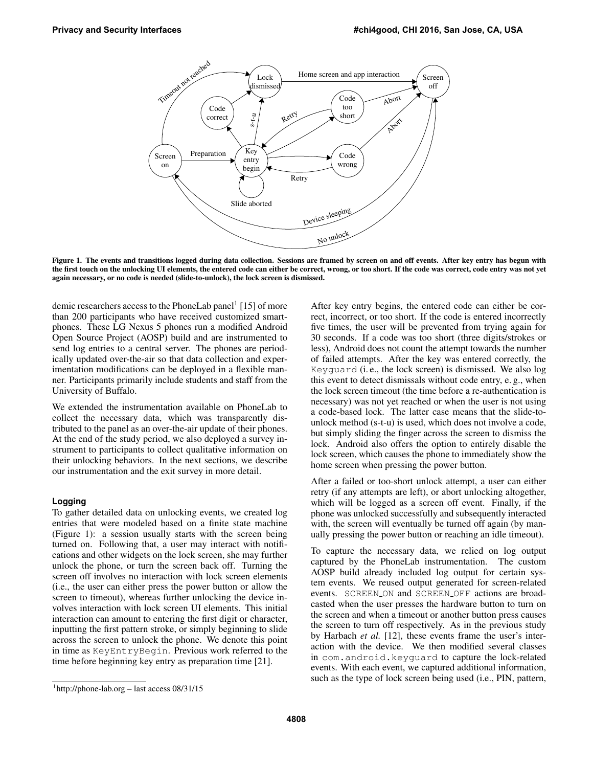

<span id="page-2-1"></span>Figure 1. The events and transitions logged during data collection. Sessions are framed by screen on and off events. After key entry has begun with the first touch on the unlocking UI elements, the entered code can either be correct, wrong, or too short. If the code was correct, code entry was not yet again necessary, or no code is needed (slide-to-unlock), the lock screen is dismissed.

demic researchers access to the PhoneLab panel<sup>[1](#page-2-0)</sup> [\[15\]](#page-10-13) of more than 200 participants who have received customized smartphones. These LG Nexus 5 phones run a modified Android Open Source Project (AOSP) build and are instrumented to send log entries to a central server. The phones are periodically updated over-the-air so that data collection and experimentation modifications can be deployed in a flexible manner. Participants primarily include students and staff from the University of Buffalo.

We extended the instrumentation available on PhoneLab to collect the necessary data, which was transparently distributed to the panel as an over-the-air update of their phones. At the end of the study period, we also deployed a survey instrument to participants to collect qualitative information on their unlocking behaviors. In the next sections, we describe our instrumentation and the exit survey in more detail.

## **Logging**

To gather detailed data on unlocking events, we created log entries that were modeled based on a finite state machine (Figure [1\)](#page-2-1): a session usually starts with the screen being turned on. Following that, a user may interact with notifications and other widgets on the lock screen, she may further unlock the phone, or turn the screen back off. Turning the screen off involves no interaction with lock screen elements (i.e., the user can either press the power button or allow the screen to timeout), whereas further unlocking the device involves interaction with lock screen UI elements. This initial interaction can amount to entering the first digit or character, inputting the first pattern stroke, or simply beginning to slide across the screen to unlock the phone. We denote this point in time as KeyEntryBegin. Previous work referred to the time before beginning key entry as preparation time [\[21\]](#page-11-7).

After key entry begins, the entered code can either be correct, incorrect, or too short. If the code is entered incorrectly five times, the user will be prevented from trying again for 30 seconds. If a code was too short (three digits/strokes or less), Android does not count the attempt towards the number of failed attempts. After the key was entered correctly, the Keyguard (i. e., the lock screen) is dismissed. We also log this event to detect dismissals without code entry, e. g., when the lock screen timeout (the time before a re-authentication is necessary) was not yet reached or when the user is not using a code-based lock. The latter case means that the slide-tounlock method (s-t-u) is used, which does not involve a code, but simply sliding the finger across the screen to dismiss the lock. Android also offers the option to entirely disable the lock screen, which causes the phone to immediately show the home screen when pressing the power button.

After a failed or too-short unlock attempt, a user can either retry (if any attempts are left), or abort unlocking altogether, which will be logged as a screen off event. Finally, if the phone was unlocked successfully and subsequently interacted with, the screen will eventually be turned off again (by manually pressing the power button or reaching an idle timeout).

To capture the necessary data, we relied on log output captured by the PhoneLab instrumentation. The custom AOSP build already included log output for certain system events. We reused output generated for screen-related events. SCREEN ON and SCREEN OFF actions are broadcasted when the user presses the hardware button to turn on the screen and when a timeout or another button press causes the screen to turn off respectively. As in the previous study by Harbach *et al.* [\[12\]](#page-10-3), these events frame the user's interaction with the device. We then modified several classes in com.android.keyguard to capture the lock-related events. With each event, we captured additional information, such as the type of lock screen being used (i.e., PIN, pattern,

<span id="page-2-0"></span> $<sup>1</sup>$ http://phone-lab.org – last access 08/31/15</sup>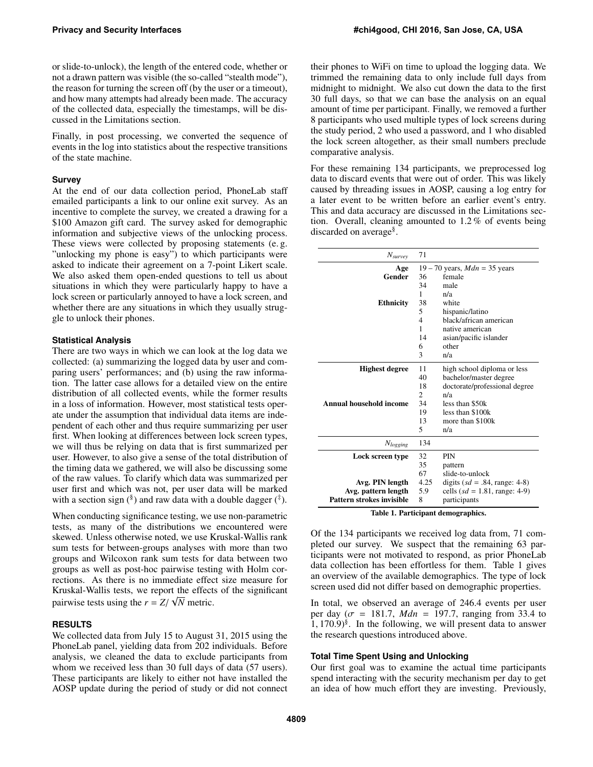or slide-to-unlock), the length of the entered code, whether or not a drawn pattern was visible (the so-called "stealth mode"), the reason for turning the screen off (by the user or a timeout), and how many attempts had already been made. The accuracy of the collected data, especially the timestamps, will be discussed in the Limitations section.

Finally, in post processing, we converted the sequence of events in the log into statistics about the respective transitions of the state machine.

#### **Survey**

At the end of our data collection period, PhoneLab staff emailed participants a link to our online exit survey. As an incentive to complete the survey, we created a drawing for a \$100 Amazon gift card. The survey asked for demographic information and subjective views of the unlocking process. These views were collected by proposing statements (e. g. "unlocking my phone is easy") to which participants were asked to indicate their agreement on a 7-point Likert scale. We also asked them open-ended questions to tell us about situations in which they were particularly happy to have a lock screen or particularly annoyed to have a lock screen, and whether there are any situations in which they usually struggle to unlock their phones.

#### **Statistical Analysis**

There are two ways in which we can look at the log data we collected: (a) summarizing the logged data by user and comparing users' performances; and (b) using the raw information. The latter case allows for a detailed view on the entire distribution of all collected events, while the former results in a loss of information. However, most statistical tests operate under the assumption that individual data items are independent of each other and thus require summarizing per user first. When looking at differences between lock screen types, we will thus be relying on data that is first summarized per user. However, to also give a sense of the total distribution of the timing data we gathered, we will also be discussing some of the raw values. To clarify which data was summarized per user first and which was not, per user data will be marked with a section sign  $({}^{8})$  and raw data with a double dagger  $({}^{4})$ .

When conducting significance testing, we use non-parametric tests, as many of the distributions we encountered were skewed. Unless otherwise noted, we use Kruskal-Wallis rank sum tests for between-groups analyses with more than two groups and Wilcoxon rank sum tests for data between two groups as well as post-hoc pairwise testing with Holm corrections. As there is no immediate effect size measure for Kruskal-Wallis tests, we report the effects of the significant pairwise tests using the  $r = Z/\sqrt{N}$  metric.

#### **RESULTS**

We collected data from July 15 to August 31, 2015 using the PhoneLab panel, yielding data from 202 individuals. Before analysis, we cleaned the data to exclude participants from whom we received less than 30 full days of data (57 users). These participants are likely to either not have installed the AOSP update during the period of study or did not connect their phones to WiFi on time to upload the logging data. We trimmed the remaining data to only include full days from midnight to midnight. We also cut down the data to the first 30 full days, so that we can base the analysis on an equal amount of time per participant. Finally, we removed a further 8 participants who used multiple types of lock screens during the study period, 2 who used a password, and 1 who disabled the lock screen altogether, as their small numbers preclude comparative analysis.

For these remaining 134 participants, we preprocessed log data to discard events that were out of order. This was likely caused by threading issues in AOSP, causing a log entry for a later event to be written before an earlier event's entry. This and data accuracy are discussed in the Limitations section. Overall, cleaning amounted to 1.2 % of events being discarded on average<sup>§</sup>.

| $N_{\text{survey}}$       | 71             |                                   |
|---------------------------|----------------|-----------------------------------|
| Age                       |                | $19 - 70$ years, $Mdn = 35$ years |
| Gender                    | 36             | female                            |
|                           | 34             | male                              |
|                           | 1              | n/a                               |
| <b>Ethnicity</b>          | 38             | white                             |
|                           | 5              | hispanic/latino                   |
|                           | $\overline{4}$ | black/african american            |
|                           | 1              | native american                   |
|                           | 14             | asian/pacific islander            |
|                           | 6              | other                             |
|                           | 3              | n/a                               |
| <b>Highest degree</b>     | 11             | high school diploma or less       |
|                           | 40             | bachelor/master degree            |
|                           | 18             | doctorate/professional degree     |
|                           | 2              | n/a                               |
| Annual household income   | 34             | less than \$50k                   |
|                           | 19             | less than \$100k                  |
|                           | 13             | more than \$100k                  |
|                           | 5.             | n/a                               |
| $N_{logging}$             | 134            |                                   |
| Lock screen type          | 32             | <b>PIN</b>                        |
|                           | 35             | pattern                           |
|                           | 67             | slide-to-unlock                   |
| Avg. PIN length           | 4.25           | digits ( $sd = .84$ , range: 4-8) |
| Avg. pattern length       | 5.9            | cells ( $sd = 1.81$ , range: 4-9) |
| Pattern strokes invisible | 8              | participants                      |

<span id="page-3-0"></span>Table 1. Participant demographics.

Of the 134 participants we received log data from, 71 completed our survey. We suspect that the remaining 63 participants were not motivated to respond, as prior PhoneLab data collection has been effortless for them. Table [1](#page-3-0) gives an overview of the available demographics. The type of lock screen used did not differ based on demographic properties.

In total, we observed an average of 246.4 events per user per day ( $\sigma = 181.7$ , *Mdn* = 197.7, ranging from 33.4 to  $(1, 170.9)^8$ . In the following, we will present data to answer the research questions introduced above.

#### **Total Time Spent Using and Unlocking**

Our first goal was to examine the actual time participants spend interacting with the security mechanism per day to get an idea of how much effort they are investing. Previously,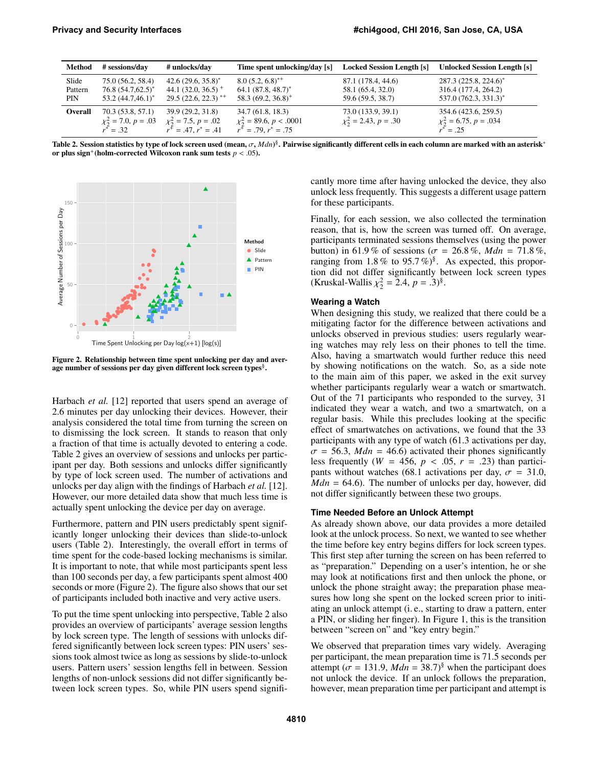| Method                         | # sessions/day                                               | # unlocks/dav                                                                                | Time spent unlocking/day [s]                                                      | <b>Locked Session Length [s]</b>                             | <b>Unlocked Session Length [s]</b>                                     |
|--------------------------------|--------------------------------------------------------------|----------------------------------------------------------------------------------------------|-----------------------------------------------------------------------------------|--------------------------------------------------------------|------------------------------------------------------------------------|
| Slide<br>Pattern<br><b>PIN</b> | 75.0 (56.2, 58.4)<br>76.8 (54.7, 62.5)*<br>53.2 (44.7,46.1)* | $42.6(29.6, 35.8)^*$<br>44.1 $(32.0, 36.5)$ <sup>+</sup><br>$29.5(22.6, 22.3)$ <sup>**</sup> | $8.0(5.2, 6.8)^{*+}$<br>$64.1 (87.8, 48.7)^*$<br>$58.3(69.2, 36.8)^+$             | 87.1 (178.4, 44.6)<br>58.1 (65.4, 32.0)<br>59.6 (59.5, 38.7) | 287.3 (225.8, 224.6)*<br>316.4 (177.4, 264.2)<br>537.0 (762.3, 331.3)* |
| <b>Overall</b>                 | 70.3(53.8, 57.1)<br>$\chi^2$ = 7.0, p = .03<br>$r^* = 32$    | 39.9 (29.2, 31.8)<br>$\chi^2$ = 7.5, p = .02<br>$r^{\pm} = .47, r^* = .41$                   | 34.7(61.8, 18.3)<br>$\chi^2$ = 89.6, p < .0001<br>$r^{\ddagger} = .79, r^* = .75$ | 73.0 (133.9, 39.1)<br>$\chi^2$ = 2.43, p = .30               | 354.6 (423.6, 259.5)<br>$\chi^2$ = 6.75, p = .034<br>$r^* = .25$       |

<span id="page-4-0"></span>Table 2. Session statistics by type of lock screen used (mean, σ, Mdn)<sup>§</sup>. Pairwise significantly different cells in each column are marked with an asterisk\*<br>or plus sign\*(holm-corrected Wilcoxon rank sum tests *n < 0*5). or plus sign<sup>+</sup>(holm-corrected Wilcoxon rank sum tests  $p < .05$ ).



<span id="page-4-1"></span>Figure 2. Relationship between time spent unlocking per day and average number of sessions per day given different lock screen types§ .

Harbach *et al.* [\[12\]](#page-10-3) reported that users spend an average of 2.6 minutes per day unlocking their devices. However, their analysis considered the total time from turning the screen on to dismissing the lock screen. It stands to reason that only a fraction of that time is actually devoted to entering a code. Table [2](#page-4-0) gives an overview of sessions and unlocks per participant per day. Both sessions and unlocks differ significantly by type of lock screen used. The number of activations and unlocks per day align with the findings of Harbach *et al.* [\[12\]](#page-10-3). However, our more detailed data show that much less time is actually spent unlocking the device per day on average.

Furthermore, pattern and PIN users predictably spent significantly longer unlocking their devices than slide-to-unlock users (Table [2\)](#page-4-0). Interestingly, the overall effort in terms of time spent for the code-based locking mechanisms is similar. It is important to note, that while most participants spent less than 100 seconds per day, a few participants spent almost 400 seconds or more (Figure [2\)](#page-4-1). The figure also shows that our set of participants included both inactive and very active users.

To put the time spent unlocking into perspective, Table [2](#page-4-0) also provides an overview of participants' average session lengths by lock screen type. The length of sessions with unlocks differed significantly between lock screen types: PIN users' sessions took almost twice as long as sessions by slide-to-unlock users. Pattern users' session lengths fell in between. Session lengths of non-unlock sessions did not differ significantly between lock screen types. So, while PIN users spend significantly more time after having unlocked the device, they also unlock less frequently. This suggests a different usage pattern for these participants.

Finally, for each session, we also collected the termination reason, that is, how the screen was turned off. On average, participants terminated sessions themselves (using the power button) in 61.9 % of sessions ( $\sigma = 26.8\%$ , *Mdn* = 71.8 %, ranging from 1.8% to 95.7%)<sup>§</sup>. As expected, this proportion did not differ significantly between lock screen types (Kruskal-Wallis  $\chi_2^2 = 2.4$ ,  $p = .3$ )<sup>§</sup>.

## **Wearing a Watch**

When designing this study, we realized that there could be a mitigating factor for the difference between activations and unlocks observed in previous studies: users regularly wearing watches may rely less on their phones to tell the time. Also, having a smartwatch would further reduce this need by showing notifications on the watch. So, as a side note to the main aim of this paper, we asked in the exit survey whether participants regularly wear a watch or smartwatch. Out of the 71 participants who responded to the survey, 31 indicated they wear a watch, and two a smartwatch, on a regular basis. While this precludes looking at the specific effect of smartwatches on activations, we found that the 33 participants with any type of watch (61.3 activations per day,  $\sigma$  = 56.3, *Mdn* = 46.6) activated their phones significantly less frequently ( $W = 456$ ,  $p < .05$ ,  $r = .23$ ) than participants without watches (68.1 activations per day,  $\sigma = 31.0$ ,  $Mdn = 64.6$ . The number of unlocks per day, however, did not differ significantly between these two groups.

#### **Time Needed Before an Unlock Attempt**

As already shown above, our data provides a more detailed look at the unlock process. So next, we wanted to see whether the time before key entry begins differs for lock screen types. This first step after turning the screen on has been referred to as "preparation." Depending on a user's intention, he or she may look at notifications first and then unlock the phone, or unlock the phone straight away; the preparation phase measures how long she spent on the locked screen prior to initiating an unlock attempt (i. e., starting to draw a pattern, enter a PIN, or sliding her finger). In Figure [1,](#page-2-1) this is the transition between "screen on" and "key entry begin."

We observed that preparation times vary widely. Averaging per participant, the mean preparation time is 71.5 seconds per attempt ( $\sigma = 131.9$ ,  $Mdn = 38.7$ )<sup>§</sup> when the participant does not unlock the device. If an unlock follows the preparation not unlock the device. If an unlock follows the preparation, however, mean preparation time per participant and attempt is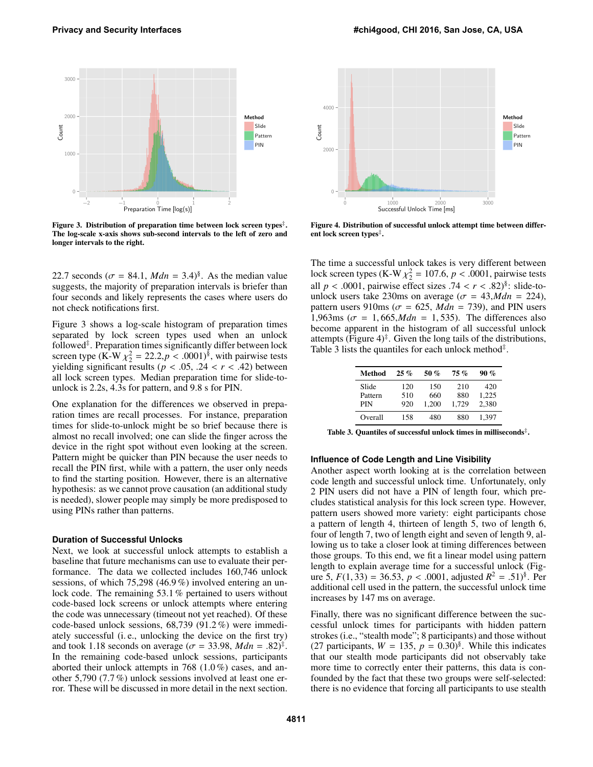

<span id="page-5-0"></span>Figure 3. Distribution of preparation time between lock screen types<sup>‡</sup>. The log-scale x-axis shows sub-second intervals to the left of zero and longer intervals to the right.

22.7 seconds ( $\sigma = 84.1$ ,  $Mdn = 3.4$ )<sup>§</sup>. As the median value suggests the majority of preparation intervals is briefer than suggests, the majority of preparation intervals is briefer than four seconds and likely represents the cases where users do not check notifications first.

Figure [3](#page-5-0) shows a log-scale histogram of preparation times separated by lock screen types used when an unlock followed‡ . Preparation times significantly differ between lock screen type  $(K-W^2_Z = 22.2, p < .0001)^{\frac{5}{5}}$ , with pairwise tests<br>vielding significant results ( $n < 05$  – 24 <  $r < 42$ ) between yielding significant results ( $p < .05$ , .24 <  $r < .42$ ) between all lock screen types. Median preparation time for slide-tounlock is 2.2s, 4.3s for pattern, and 9.8 s for PIN.

One explanation for the differences we observed in preparation times are recall processes. For instance, preparation times for slide-to-unlock might be so brief because there is almost no recall involved; one can slide the finger across the device in the right spot without even looking at the screen. Pattern might be quicker than PIN because the user needs to recall the PIN first, while with a pattern, the user only needs to find the starting position. However, there is an alternative hypothesis: as we cannot prove causation (an additional study is needed), slower people may simply be more predisposed to using PINs rather than patterns.

#### **Duration of Successful Unlocks**

Next, we look at successful unlock attempts to establish a baseline that future mechanisms can use to evaluate their performance. The data we collected includes 160,746 unlock sessions, of which 75,298 (46.9 %) involved entering an unlock code. The remaining 53.1 % pertained to users without code-based lock screens or unlock attempts where entering the code was unnecessary (timeout not yet reached). Of these code-based unlock sessions, 68,739 (91.2 %) were immediately successful (i. e., unlocking the device on the first try) and took 1.18 seconds on average ( $\sigma = 33.98$ ,  $Mdn = .82$ )<sup> $\pm$ </sup>.<br>In the remaining code-based unlock sessions participants In the remaining code-based unlock sessions, participants aborted their unlock attempts in 768 (1.0 %) cases, and another 5,790 (7.7 %) unlock sessions involved at least one error. These will be discussed in more detail in the next section.



<span id="page-5-1"></span>Figure 4. Distribution of successful unlock attempt time between different lock screen types<sup>‡</sup>.

The time a successful unlock takes is very different between lock screen types  $(K-W\chi^2_Z = 107.6, p < .0001$ , pairwise tests<br>all  $p < .0001$ , pairwise offect sizes  $74 < r < .828$ ; slide to all  $p < .0001$ , pairwise effect sizes  $.74 < r < .82$ )<sup>§</sup>: slide-to-<br>unlock users take 230ms on average ( $\sigma = 43$  Mdn = 224) unlock users take 230ms on average ( $\sigma = 43$ , *Mdn* = 224), pattern users 910ms ( $\sigma$  = 625, *Mdn* = 739), and PIN users 1,963ms ( $\sigma = 1,665, Mdn = 1,535$ ). The differences also become apparent in the histogram of all successful unlock attempts (Figure  $4$ )<sup> $\ddagger$ </sup>. Given the long tails of the distributions, Table [3](#page-5-2) lists the quantiles for each unlock method<sup>‡</sup>.

| Method  | $25 \%$ | 50 %  | 75%   | 90%   |
|---------|---------|-------|-------|-------|
| Slide   | 120     | 150   | 210   | 420   |
| Pattern | 510     | 660   | 880   | 1.225 |
| PIN     | 920     | 1.200 | 1.729 | 2.380 |
| Overall | 158     | 480   | 880   | 1.397 |

<span id="page-5-2"></span>Table 3. Quantiles of successful unlock times in milliseconds $^\ddag$ .

#### **Influence of Code Length and Line Visibility**

Another aspect worth looking at is the correlation between code length and successful unlock time. Unfortunately, only 2 PIN users did not have a PIN of length four, which precludes statistical analysis for this lock screen type. However, pattern users showed more variety: eight participants chose a pattern of length 4, thirteen of length 5, two of length 6, four of length 7, two of length eight and seven of length 9, allowing us to take a closer look at timing differences between those groups. To this end, we fit a linear model using pattern length to explain average time for a successful unlock (Fig-ure [5,](#page-6-0)  $F(1, 33) = 36.53$ ,  $p < .0001$ , adjusted  $R^2 = .51)^8$ . Per additional cell used in the pattern the successful unlock time additional cell used in the pattern, the successful unlock time increases by 147 ms on average.

Finally, there was no significant difference between the successful unlock times for participants with hidden pattern strokes (i.e., "stealth mode"; 8 participants) and those without (27 participants,  $W = 135$ ,  $p = 0.30$ <sup>§</sup>. While this indicates that our stealth mode participants did not observably take that our stealth mode participants did not observably take more time to correctly enter their patterns, this data is confounded by the fact that these two groups were self-selected: there is no evidence that forcing all participants to use stealth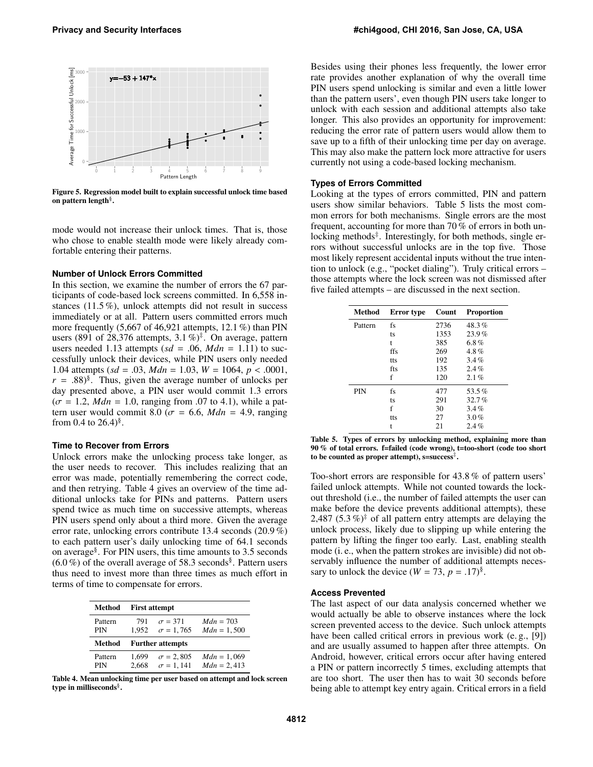

<span id="page-6-0"></span>Figure 5. Regression model built to explain successful unlock time based on pattern length<sup>§</sup>.

mode would not increase their unlock times. That is, those who chose to enable stealth mode were likely already comfortable entering their patterns.

#### **Number of Unlock Errors Committed**

In this section, we examine the number of errors the 67 participants of code-based lock screens committed. In 6,558 instances (11.5 %), unlock attempts did not result in success immediately or at all. Pattern users committed errors much more frequently  $(5,667 \text{ of } 46,921 \text{ attempts}, 12.1 \%)$  than PIN users (891 of 28,376 attempts,  $3.1\%$ )<sup> $\ddagger$ </sup>. On average, pattern users needed 1.13 attempts ( $sd = .06$ ,  $Mdn = 1.11$ ) to successfully unlock their devices, while PIN users only needed 1.04 attempts (*sd* <sup>=</sup> .03, *Mdn* <sup>=</sup> <sup>1</sup>.03, *<sup>W</sup>* <sup>=</sup> 1064, *<sup>p</sup>* < .0001,  $r = .88$ <sup>§</sup>. Thus, given the average number of unlocks per day presented above a PIN user would commit 1.3 errors day presented above, a PIN user would commit 1.3 errors  $(\sigma = 1.2, Mdn = 1.0,$  ranging from .07 to 4.1), while a pattern user would commit 8.0 ( $\sigma$  = 6.6, *Mdn* = 4.9, ranging from 0.4 to  $26.4$ <sup>§</sup>.

#### **Time to Recover from Errors**

Unlock errors make the unlocking process take longer, as the user needs to recover. This includes realizing that an error was made, potentially remembering the correct code, and then retrying. Table [4](#page-6-1) gives an overview of the time additional unlocks take for PINs and patterns. Pattern users spend twice as much time on successive attempts, whereas PIN users spend only about a third more. Given the average error rate, unlocking errors contribute 13.4 seconds (20.9 %) to each pattern user's daily unlocking time of 64.1 seconds on average§ . For PIN users, this time amounts to 3.5 seconds  $(6.0\%)$  of the overall average of 58.3 seconds<sup>§</sup>. Pattern users thus need to invest more than three times as much effort in terms of time to compensate for errors.

| Method         | <b>First attempt</b>    |                                    |                                |
|----------------|-------------------------|------------------------------------|--------------------------------|
| Pattern<br>PIN | 791<br>1.952            | $\sigma = 371$<br>$\sigma = 1,765$ | $Mdn = 703$<br>$Mdn = 1,500$   |
| Method         | <b>Further attempts</b> |                                    |                                |
| Pattern        | 1.699                   | $\sigma = 2.805$                   | $Mdn = 1,069$<br>$Mdn = 2,413$ |

<span id="page-6-1"></span>PIN 2,668  $\sigma = 1,141$  *Mdn* = 2,413<br>Table 4. Mean unlocking time per user based on attempt and lock screen type in milliseconds $§$  .

Besides using their phones less frequently, the lower error rate provides another explanation of why the overall time PIN users spend unlocking is similar and even a little lower than the pattern users', even though PIN users take longer to unlock with each session and additional attempts also take longer. This also provides an opportunity for improvement: reducing the error rate of pattern users would allow them to save up to a fifth of their unlocking time per day on average. This may also make the pattern lock more attractive for users currently not using a code-based locking mechanism.

#### **Types of Errors Committed**

Looking at the types of errors committed, PIN and pattern users show similar behaviors. Table [5](#page-6-2) lists the most common errors for both mechanisms. Single errors are the most frequent, accounting for more than 70 % of errors in both unlocking methods<sup>‡</sup>. Interestingly, for both methods, single errors without successful unlocks are in the top five. Those most likely represent accidental inputs without the true intention to unlock (e.g., "pocket dialing"). Truly critical errors – those attempts where the lock screen was not dismissed after five failed attempts – are discussed in the next section.

| <b>Method</b> | <b>Error</b> type | Count | <b>Proportion</b> |
|---------------|-------------------|-------|-------------------|
| Pattern       | fs                | 2736  | 48.3%             |
|               | ts                | 1353  | 23.9%             |
|               | t                 | 385   | 6.8%              |
|               | ffs               | 269   | 4.8%              |
|               | tts               | 192   | 3.4%              |
|               | fts               | 135   | 2.4%              |
|               | f                 | 120   | 2.1%              |
| <b>PIN</b>    | fs                | 477   | 53.5%             |
|               | ts                | 291   | 32.7%             |
|               | f                 | 30    | 3.4%              |
|               | tts               | 27    | $3.0\%$           |
|               | t                 | 21    | 2.4%              |

<span id="page-6-2"></span>Table 5. Types of errors by unlocking method, explaining more than 90 % of total errors. f=failed (code wrong), t=too-short (code too short to be counted as proper attempt), s=success<sup>‡</sup>.

Too-short errors are responsible for 43.8 % of pattern users' failed unlock attempts. While not counted towards the lockout threshold (i.e., the number of failed attempts the user can make before the device prevents additional attempts), these 2,487  $(5.3\%)^{\ddagger}$  of all pattern entry attempts are delaying the unlock process, likely due to slipping up while entering the pattern by lifting the finger too early. Last, enabling stealth mode (i. e., when the pattern strokes are invisible) did not observably influence the number of additional attempts necessary to unlock the device  $(W = 73, p = .17)^{\$}$ .

#### **Access Prevented**

The last aspect of our data analysis concerned whether we would actually be able to observe instances where the lock screen prevented access to the device. Such unlock attempts have been called critical errors in previous work (e.g., [\[9\]](#page-10-14)) and are usually assumed to happen after three attempts. On Android, however, critical errors occur after having entered a PIN or pattern incorrectly 5 times, excluding attempts that are too short. The user then has to wait 30 seconds before being able to attempt key entry again. Critical errors in a field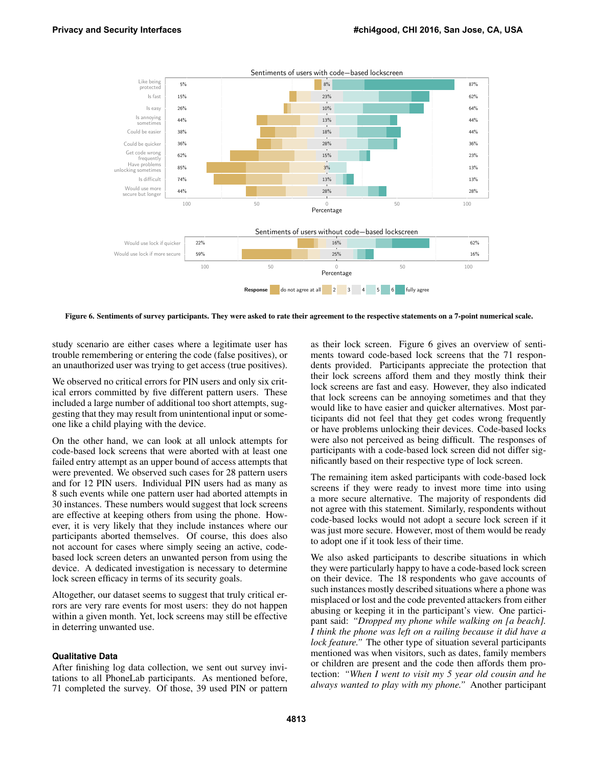

<span id="page-7-0"></span>Figure 6. Sentiments of survey participants. They were asked to rate their agreement to the respective statements on a 7-point numerical scale.

study scenario are either cases where a legitimate user has trouble remembering or entering the code (false positives), or an unauthorized user was trying to get access (true positives).

We observed no critical errors for PIN users and only six critical errors committed by five different pattern users. These included a large number of additional too short attempts, suggesting that they may result from unintentional input or someone like a child playing with the device.

On the other hand, we can look at all unlock attempts for code-based lock screens that were aborted with at least one failed entry attempt as an upper bound of access attempts that were prevented. We observed such cases for 28 pattern users and for 12 PIN users. Individual PIN users had as many as 8 such events while one pattern user had aborted attempts in 30 instances. These numbers would suggest that lock screens are effective at keeping others from using the phone. However, it is very likely that they include instances where our participants aborted themselves. Of course, this does also not account for cases where simply seeing an active, codebased lock screen deters an unwanted person from using the device. A dedicated investigation is necessary to determine lock screen efficacy in terms of its security goals.

Altogether, our dataset seems to suggest that truly critical errors are very rare events for most users: they do not happen within a given month. Yet, lock screens may still be effective in deterring unwanted use.

#### **Qualitative Data**

After finishing log data collection, we sent out survey invitations to all PhoneLab participants. As mentioned before, 71 completed the survey. Of those, 39 used PIN or pattern as their lock screen. Figure [6](#page-7-0) gives an overview of sentiments toward code-based lock screens that the 71 respondents provided. Participants appreciate the protection that their lock screens afford them and they mostly think their lock screens are fast and easy. However, they also indicated that lock screens can be annoying sometimes and that they would like to have easier and quicker alternatives. Most participants did not feel that they get codes wrong frequently or have problems unlocking their devices. Code-based locks were also not perceived as being difficult. The responses of participants with a code-based lock screen did not differ significantly based on their respective type of lock screen.

The remaining item asked participants with code-based lock screens if they were ready to invest more time into using a more secure alternative. The majority of respondents did not agree with this statement. Similarly, respondents without code-based locks would not adopt a secure lock screen if it was just more secure. However, most of them would be ready to adopt one if it took less of their time.

We also asked participants to describe situations in which they were particularly happy to have a code-based lock screen on their device. The 18 respondents who gave accounts of such instances mostly described situations where a phone was misplaced or lost and the code prevented attackers from either abusing or keeping it in the participant's view. One participant said: *"Dropped my phone while walking on [a beach]. I think the phone was left on a railing because it did have a lock feature."* The other type of situation several participants mentioned was when visitors, such as dates, family members or children are present and the code then affords them protection: *"When I went to visit my 5 year old cousin and he always wanted to play with my phone."* Another participant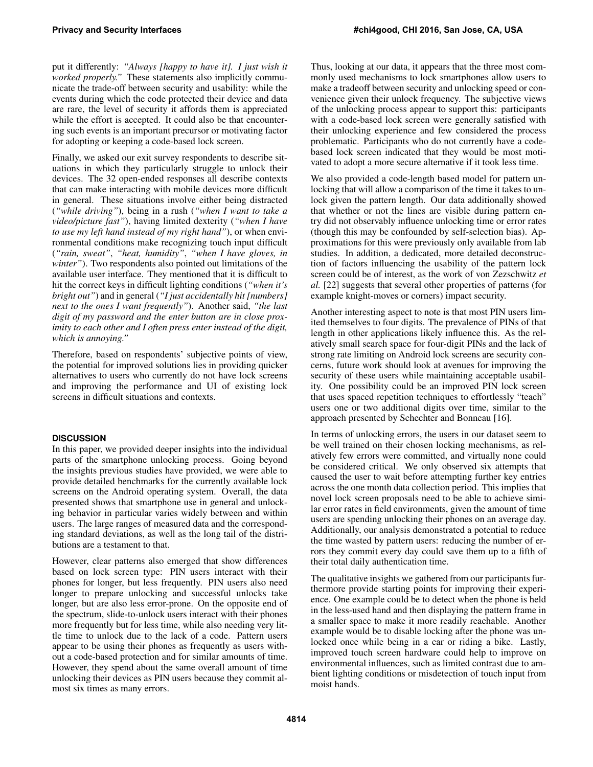put it differently: *"Always [happy to have it]. I just wish it worked properly."* These statements also implicitly communicate the trade-off between security and usability: while the events during which the code protected their device and data are rare, the level of security it affords them is appreciated while the effort is accepted. It could also be that encountering such events is an important precursor or motivating factor for adopting or keeping a code-based lock screen.

Finally, we asked our exit survey respondents to describe situations in which they particularly struggle to unlock their devices. The 32 open-ended responses all describe contexts that can make interacting with mobile devices more difficult in general. These situations involve either being distracted (*"while driving"*), being in a rush (*"when I want to take a video/picture fast"*), having limited dexterity (*"when I have to use my left hand instead of my right hand"*), or when environmental conditions make recognizing touch input difficult (*"rain, sweat"*, *"heat, humidity"*, *"when I have gloves, in winter"*). Two respondents also pointed out limitations of the available user interface. They mentioned that it is difficult to hit the correct keys in difficult lighting conditions (*"when it's bright out"*) and in general (*"I just accidentally hit [numbers] next to the ones I want frequently"*). Another said, *"the last digit of my password and the enter button are in close proximity to each other and I often press enter instead of the digit, which is annoying."*

Therefore, based on respondents' subjective points of view, the potential for improved solutions lies in providing quicker alternatives to users who currently do not have lock screens and improving the performance and UI of existing lock screens in difficult situations and contexts.

## **DISCUSSION**

In this paper, we provided deeper insights into the individual parts of the smartphone unlocking process. Going beyond the insights previous studies have provided, we were able to provide detailed benchmarks for the currently available lock screens on the Android operating system. Overall, the data presented shows that smartphone use in general and unlocking behavior in particular varies widely between and within users. The large ranges of measured data and the corresponding standard deviations, as well as the long tail of the distributions are a testament to that.

However, clear patterns also emerged that show differences based on lock screen type: PIN users interact with their phones for longer, but less frequently. PIN users also need longer to prepare unlocking and successful unlocks take longer, but are also less error-prone. On the opposite end of the spectrum, slide-to-unlock users interact with their phones more frequently but for less time, while also needing very little time to unlock due to the lack of a code. Pattern users appear to be using their phones as frequently as users without a code-based protection and for similar amounts of time. However, they spend about the same overall amount of time unlocking their devices as PIN users because they commit almost six times as many errors.

Thus, looking at our data, it appears that the three most commonly used mechanisms to lock smartphones allow users to make a tradeoff between security and unlocking speed or convenience given their unlock frequency. The subjective views of the unlocking process appear to support this: participants with a code-based lock screen were generally satisfied with their unlocking experience and few considered the process problematic. Participants who do not currently have a codebased lock screen indicated that they would be most motivated to adopt a more secure alternative if it took less time.

We also provided a code-length based model for pattern unlocking that will allow a comparison of the time it takes to unlock given the pattern length. Our data additionally showed that whether or not the lines are visible during pattern entry did not observably influence unlocking time or error rates (though this may be confounded by self-selection bias). Approximations for this were previously only available from lab studies. In addition, a dedicated, more detailed deconstruction of factors influencing the usability of the pattern lock screen could be of interest, as the work of von Zezschwitz *et al.* [\[22\]](#page-11-1) suggests that several other properties of patterns (for example knight-moves or corners) impact security.

Another interesting aspect to note is that most PIN users limited themselves to four digits. The prevalence of PINs of that length in other applications likely influence this. As the relatively small search space for four-digit PINs and the lack of strong rate limiting on Android lock screens are security concerns, future work should look at avenues for improving the security of these users while maintaining acceptable usability. One possibility could be an improved PIN lock screen that uses spaced repetition techniques to effortlessly "teach" users one or two additional digits over time, similar to the approach presented by Schechter and Bonneau [\[16\]](#page-11-8).

In terms of unlocking errors, the users in our dataset seem to be well trained on their chosen locking mechanisms, as relatively few errors were committed, and virtually none could be considered critical. We only observed six attempts that caused the user to wait before attempting further key entries across the one month data collection period. This implies that novel lock screen proposals need to be able to achieve similar error rates in field environments, given the amount of time users are spending unlocking their phones on an average day. Additionally, our analysis demonstrated a potential to reduce the time wasted by pattern users: reducing the number of errors they commit every day could save them up to a fifth of their total daily authentication time.

The qualitative insights we gathered from our participants furthermore provide starting points for improving their experience. One example could be to detect when the phone is held in the less-used hand and then displaying the pattern frame in a smaller space to make it more readily reachable. Another example would be to disable locking after the phone was unlocked once while being in a car or riding a bike. Lastly, improved touch screen hardware could help to improve on environmental influences, such as limited contrast due to ambient lighting conditions or misdetection of touch input from moist hands.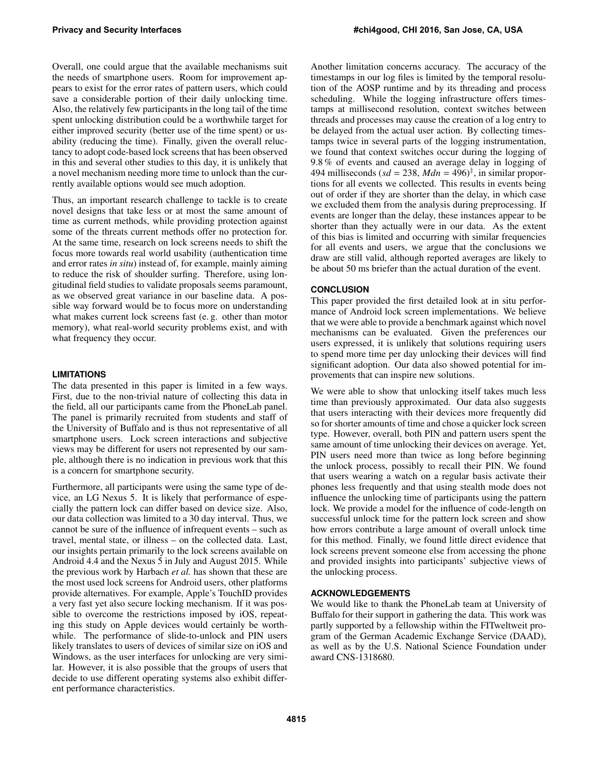Overall, one could argue that the available mechanisms suit the needs of smartphone users. Room for improvement appears to exist for the error rates of pattern users, which could save a considerable portion of their daily unlocking time. Also, the relatively few participants in the long tail of the time spent unlocking distribution could be a worthwhile target for either improved security (better use of the time spent) or usability (reducing the time). Finally, given the overall reluctancy to adopt code-based lock screens that has been observed in this and several other studies to this day, it is unlikely that a novel mechanism needing more time to unlock than the currently available options would see much adoption.

Thus, an important research challenge to tackle is to create novel designs that take less or at most the same amount of time as current methods, while providing protection against some of the threats current methods offer no protection for. At the same time, research on lock screens needs to shift the focus more towards real world usability (authentication time and error rates *in situ*) instead of, for example, mainly aiming to reduce the risk of shoulder surfing. Therefore, using longitudinal field studies to validate proposals seems paramount, as we observed great variance in our baseline data. A possible way forward would be to focus more on understanding what makes current lock screens fast (e. g. other than motor memory), what real-world security problems exist, and with what frequency they occur.

#### **LIMITATIONS**

The data presented in this paper is limited in a few ways. First, due to the non-trivial nature of collecting this data in the field, all our participants came from the PhoneLab panel. The panel is primarily recruited from students and staff of the University of Buffalo and is thus not representative of all smartphone users. Lock screen interactions and subjective views may be different for users not represented by our sample, although there is no indication in previous work that this is a concern for smartphone security.

Furthermore, all participants were using the same type of device, an LG Nexus 5. It is likely that performance of especially the pattern lock can differ based on device size. Also, our data collection was limited to a 30 day interval. Thus, we cannot be sure of the influence of infrequent events – such as travel, mental state, or illness – on the collected data. Last, our insights pertain primarily to the lock screens available on Android 4.4 and the Nexus 5 in July and August 2015. While the previous work by Harbach *et al.* has shown that these are the most used lock screens for Android users, other platforms provide alternatives. For example, Apple's TouchID provides a very fast yet also secure locking mechanism. If it was possible to overcome the restrictions imposed by iOS, repeating this study on Apple devices would certainly be worthwhile. The performance of slide-to-unlock and PIN users likely translates to users of devices of similar size on iOS and Windows, as the user interfaces for unlocking are very similar. However, it is also possible that the groups of users that decide to use different operating systems also exhibit different performance characteristics.

Another limitation concerns accuracy. The accuracy of the timestamps in our log files is limited by the temporal resolution of the AOSP runtime and by its threading and process scheduling. While the logging infrastructure offers timestamps at millisecond resolution, context switches between threads and processes may cause the creation of a log entry to be delayed from the actual user action. By collecting timestamps twice in several parts of the logging instrumentation, we found that context switches occur during the logging of 9.8 % of events and caused an average delay in logging of 494 milliseconds ( $sd = 238$ ,  $Mdn = 496$ <sup> $\ddagger$ </sup>, in similar proportions for all events we collected. This results in events being out of order if they are shorter than the delay, in which case we excluded them from the analysis during preprocessing. If events are longer than the delay, these instances appear to be shorter than they actually were in our data. As the extent of this bias is limited and occurring with similar frequencies for all events and users, we argue that the conclusions we draw are still valid, although reported averages are likely to be about 50 ms briefer than the actual duration of the event.

## **CONCLUSION**

This paper provided the first detailed look at in situ performance of Android lock screen implementations. We believe that we were able to provide a benchmark against which novel mechanisms can be evaluated. Given the preferences our users expressed, it is unlikely that solutions requiring users to spend more time per day unlocking their devices will find significant adoption. Our data also showed potential for improvements that can inspire new solutions.

We were able to show that unlocking itself takes much less time than previously approximated. Our data also suggests that users interacting with their devices more frequently did so for shorter amounts of time and chose a quicker lock screen type. However, overall, both PIN and pattern users spent the same amount of time unlocking their devices on average. Yet, PIN users need more than twice as long before beginning the unlock process, possibly to recall their PIN. We found that users wearing a watch on a regular basis activate their phones less frequently and that using stealth mode does not influence the unlocking time of participants using the pattern lock. We provide a model for the influence of code-length on successful unlock time for the pattern lock screen and show how errors contribute a large amount of overall unlock time for this method. Finally, we found little direct evidence that lock screens prevent someone else from accessing the phone and provided insights into participants' subjective views of the unlocking process.

## **ACKNOWLEDGEMENTS**

We would like to thank the PhoneLab team at University of Buffalo for their support in gathering the data. This work was partly supported by a fellowship within the FITweltweit program of the German Academic Exchange Service (DAAD), as well as by the U.S. National Science Foundation under award CNS-1318680.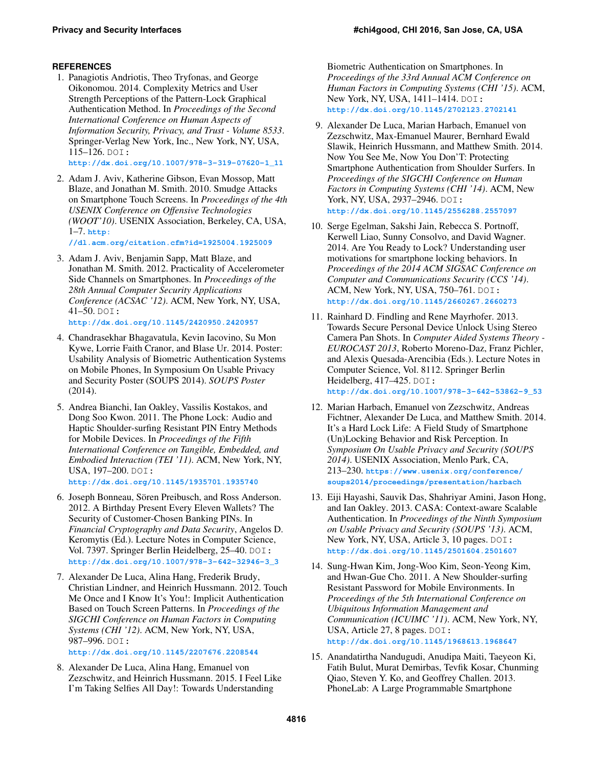## <span id="page-10-1"></span>**REFERENCES**

1. Panagiotis Andriotis, Theo Tryfonas, and George Oikonomou. 2014. Complexity Metrics and User Strength Perceptions of the Pattern-Lock Graphical Authentication Method. In *Proceedings of the Second International Conference on Human Aspects of Information Security, Privacy, and Trust - Volume 8533*. Springer-Verlag New York, Inc., New York, NY, USA, 115–126. DOI:

**[http://dx.doi.org/10.1007/978-3-319-07620-1\\_11](http://dx.doi.org/10.1007/978-3-319-07620-1_11)**

<span id="page-10-2"></span>2. Adam J. Aviv, Katherine Gibson, Evan Mossop, Matt Blaze, and Jonathan M. Smith. 2010. Smudge Attacks on Smartphone Touch Screens. In *Proceedings of the 4th USENIX Conference on Offensive Technologies (WOOT'10)*. USENIX Association, Berkeley, CA, USA, 1–7. **[http:](http://dl.acm.org/citation.cfm?id=1925004.1925009)**

**[//dl.acm.org/citation.cfm?id=1925004.1925009](http://dl.acm.org/citation.cfm?id=1925004.1925009)**

- <span id="page-10-5"></span>3. Adam J. Aviv, Benjamin Sapp, Matt Blaze, and Jonathan M. Smith. 2012. Practicality of Accelerometer Side Channels on Smartphones. In *Proceedings of the 28th Annual Computer Security Applications Conference (ACSAC '12)*. ACM, New York, NY, USA, 41–50. DOI: **<http://dx.doi.org/10.1145/2420950.2420957>**
- <span id="page-10-8"></span>4. Chandrasekhar Bhagavatula, Kevin Iacovino, Su Mon Kywe, Lorrie Faith Cranor, and Blase Ur. 2014. Poster: Usability Analysis of Biometric Authentication Systems on Mobile Phones, In Symposium On Usable Privacy and Security Poster (SOUPS 2014). *SOUPS Poster* (2014).
- <span id="page-10-10"></span>5. Andrea Bianchi, Ian Oakley, Vassilis Kostakos, and Dong Soo Kwon. 2011. The Phone Lock: Audio and Haptic Shoulder-surfing Resistant PIN Entry Methods for Mobile Devices. In *Proceedings of the Fifth International Conference on Tangible, Embedded, and Embodied Interaction (TEI '11)*. ACM, New York, NY, USA, 197–200. DOI:

**<http://dx.doi.org/10.1145/1935701.1935740>**

- <span id="page-10-4"></span>6. Joseph Bonneau, Sören Preibusch, and Ross Anderson. 2012. A Birthday Present Every Eleven Wallets? The Security of Customer-Chosen Banking PINs. In *Financial Cryptography and Data Security*, Angelos D. Keromytis (Ed.). Lecture Notes in Computer Science, Vol. 7397. Springer Berlin Heidelberg, 25–40. DOI: **[http://dx.doi.org/10.1007/978-3-642-32946-3\\_3](http://dx.doi.org/10.1007/978-3-642-32946-3_3)**
- <span id="page-10-9"></span>7. Alexander De Luca, Alina Hang, Frederik Brudy, Christian Lindner, and Heinrich Hussmann. 2012. Touch Me Once and I Know It's You!: Implicit Authentication Based on Touch Screen Patterns. In *Proceedings of the SIGCHI Conference on Human Factors in Computing Systems (CHI '12)*. ACM, New York, NY, USA, 987–996. DOI: **<http://dx.doi.org/10.1145/2207676.2208544>**
- <span id="page-10-6"></span>8. Alexander De Luca, Alina Hang, Emanuel von Zezschwitz, and Heinrich Hussmann. 2015. I Feel Like I'm Taking Selfies All Day!: Towards Understanding

Biometric Authentication on Smartphones. In *Proceedings of the 33rd Annual ACM Conference on Human Factors in Computing Systems (CHI '15)*. ACM, New York, NY, USA, 1411–1414. DOI: **<http://dx.doi.org/10.1145/2702123.2702141>**

- <span id="page-10-14"></span>9. Alexander De Luca, Marian Harbach, Emanuel von Zezschwitz, Max-Emanuel Maurer, Bernhard Ewald Slawik, Heinrich Hussmann, and Matthew Smith. 2014. Now You See Me, Now You Don'T: Protecting Smartphone Authentication from Shoulder Surfers. In *Proceedings of the SIGCHI Conference on Human Factors in Computing Systems (CHI '14)*. ACM, New York, NY, USA, 2937-2946. DOI: **<http://dx.doi.org/10.1145/2556288.2557097>**
- <span id="page-10-0"></span>10. Serge Egelman, Sakshi Jain, Rebecca S. Portnoff, Kerwell Liao, Sunny Consolvo, and David Wagner. 2014. Are You Ready to Lock? Understanding user motivations for smartphone locking behaviors. In *Proceedings of the 2014 ACM SIGSAC Conference on Computer and Communications Security (CCS '14)*. ACM, New York, NY, USA, 750–761. DOI: **<http://dx.doi.org/10.1145/2660267.2660273>**
- <span id="page-10-7"></span>11. Rainhard D. Findling and Rene Mayrhofer. 2013. Towards Secure Personal Device Unlock Using Stereo Camera Pan Shots. In *Computer Aided Systems Theory - EUROCAST 2013*, Roberto Moreno-Daz, Franz Pichler, and Alexis Quesada-Arencibia (Eds.). Lecture Notes in Computer Science, Vol. 8112. Springer Berlin Heidelberg, 417–425. DOI: **[http://dx.doi.org/10.1007/978-3-642-53862-9\\_53](http://dx.doi.org/10.1007/978-3-642-53862-9_53)**
- <span id="page-10-3"></span>12. Marian Harbach, Emanuel von Zezschwitz, Andreas Fichtner, Alexander De Luca, and Matthew Smith. 2014. It's a Hard Lock Life: A Field Study of Smartphone (Un)Locking Behavior and Risk Perception. In *Symposium On Usable Privacy and Security (SOUPS 2014)*. USENIX Association, Menlo Park, CA, 213–230. **[https://www.usenix.org/conference/](https://www.usenix.org/conference/soups2014/proceedings/presentation/harbach) [soups2014/proceedings/presentation/harbach](https://www.usenix.org/conference/soups2014/proceedings/presentation/harbach)**
- <span id="page-10-12"></span>13. Eiji Hayashi, Sauvik Das, Shahriyar Amini, Jason Hong, and Ian Oakley. 2013. CASA: Context-aware Scalable Authentication. In *Proceedings of the Ninth Symposium on Usable Privacy and Security (SOUPS '13)*. ACM, New York, NY, USA, Article 3, 10 pages. DOI: **<http://dx.doi.org/10.1145/2501604.2501607>**
- <span id="page-10-11"></span>14. Sung-Hwan Kim, Jong-Woo Kim, Seon-Yeong Kim, and Hwan-Gue Cho. 2011. A New Shoulder-surfing Resistant Password for Mobile Environments. In *Proceedings of the 5th International Conference on Ubiquitous Information Management and Communication (ICUIMC '11)*. ACM, New York, NY, USA, Article 27, 8 pages. DOI: **<http://dx.doi.org/10.1145/1968613.1968647>**
- <span id="page-10-13"></span>15. Anandatirtha Nandugudi, Anudipa Maiti, Taeyeon Ki, Fatih Bulut, Murat Demirbas, Tevfik Kosar, Chunming Qiao, Steven Y. Ko, and Geoffrey Challen. 2013. PhoneLab: A Large Programmable Smartphone